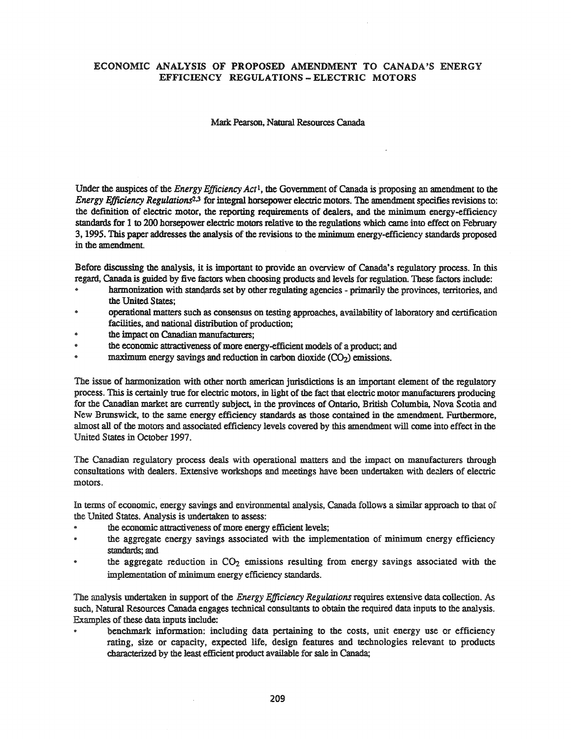### ECONOMIC ANALYSIS OF PROPOSED AMENDMENT TO CANADA'S ENERGY EFFICIENCY REGULATIONS - ELECTRIC MOTORS

#### Mark Pearson, Natural Resources Canada

Under the auspices of the *Energy Efficiency Act*1, the Government of Canada is proposing an amendment to the *Energy Efficiency Regulations<sup>2,3</sup>* for integral horsepower electric motors. The amendment specifies revisions to: the definition of electric motor, the reporting requirements of dealers, and the minimum energy-efficiency standards for 1 to 200 horsepower electric motors relative to the regulations which came into effect on February 3, 1995. This paper addresses the analysis of the revisions to the minimum energy-efficiency standards proposed in the amendment.

Before discussing the analysis, it is important to provide an overview of Canada's regulatory process. In this regard, Canada is guided by five factors when choosing products and levels for regulation. These factors include:

- harmonization with standards set by other regulating agencies primarily the provinces, territories, and the United States;
- operational matters such as consensus on testing approaches, availability of laboratory and certification facilities, and national distribution of production;
- the impact on Canadian manufacturers;
- the economic attractiveness of more energy-efficient models of a product; and
- maximum energy savings and reduction in carbon dioxide  $(CO<sub>2</sub>)$  emissions.

The issue of harmonization with other north american jurisdictions is an important element of the regulatory process. This is certainly true for electric motors, in light of the fact that electric motor manufacturers producing for the Canadian market are currently subject, in the provinces of Ontario, British Columbia, Nova Scotia and New Brunswick, to the same energy efficiency standards as those contained in the amendment. Furthermore, almost all of the motors and associated efficiency levels covered by this amendment will come into effect in the United States in October 1997.

The Canadian regulatory process deals with operational matters and the impact on manufacturers through consultations with dealers. Extensive workshops and meetings have been undertaken with decllers of electric motors.

In terms of economic, energy savings and environmental analysis, Canada follows a similar approach to that of the United States. Analysis is undertaken to assess:

- the economic attractiveness of more energy efficient levels;
- $\bullet$ the aggregate energy savings associated with the implementation of minimum energy efficiency standards; and
- $\cdot$  the aggregate reduction in CO<sub>2</sub> emissions resulting from energy savings associated with the implementation of minimum energy efficiency standards.

The analysis undertaken in support of the *Energy Efficiency Regulations*requires extensive data collection. As such, Natural Resources Canada engages technical consultants to obtain the required data inputs to the analysis. Examples of these data inputs include:

benchmark information: including data pertaining to the costs, unit energy use or efficiency rating, size or capacity, expected life, design features and technologies relevant to products characterized by the least efficient product available for sale in Canada;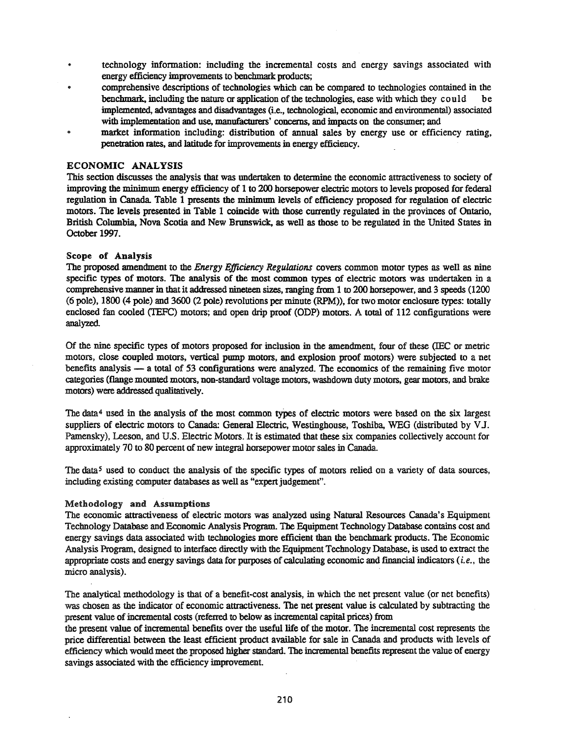- technology information: including the incremental costs and energy savings associated with energy efficiency improvements to benchmark products;
- comprehensive descriptions of technologies which can be compared to technologies contained in the benchmark, including the nature or application of the technologies, ease with which they could be implemented, advantages and disadvantages (i.e., technological, economic and environmental) associated with implementation and use, manufacturers' concerns, and impacts on the consumer; and
- market information including: distribution of annual sales by energy use or efficiency rating, penetration rates, and latitude for improvements in energy efficiency.

#### ECONOMIC ANALYSIS

This section discusses the analysis that was undertaken to determine the economic attractiveness to society of improving the minimum energy efficiency of 1 to 200 horsepower electric motors to levels proposed for federal regulation in Canada Table 1 presents the minimum levels of efficiency proposed for regulation of electric motors. The levels presented in Table 1 coincide with those currently regulated in the provinces of Ontario, British Columbia, Nova Scotia and New Brunswick, as well as those to be regulated in the United States in October 1997.

#### Scope of Analysis

The proposed amendment to the *Energy Efficiency Regulations* covers common motor types as well as nine specific types of motors. The analysis of the most common types of electric motors was undertaken in a comprehensive manner in that it addressed nineteen sizes, ranging from 1 to 200 horsepower, and 3 speeds (1200 (6 pole), 1800 (4 pole) and 3600 (2 pole) revolutions per minute (RPM)), for two motor enclosure types: totally enclosed fan cooled (TEFC) motors; and open drip proof (ODP) motors. A total of 112 configurations were analyzed

Of the nine specific types of motors proposed for inclusion in the amendment, four of these (IEC or metric motors, close coupled motors, vertical pump motors, and explosion proof motors) were subjected to a net benefits analysis  $-$  a total of 53 configurations were analyzed. The economics of the remaining five motor categories (flange mounted motors, non-standatd voltage motors, washdown duty motors, gear motors, and brake motors) were addressed qualitatively.

The data4 used in the analysis of the most common types of electric motors were based on the six largest suppliers of electric motors to Canada: General Electric, Westinghouse, Toshiba, WEG (distributed by VJ. Pamensky), Leeson, and U.S. Electric Motors. It is estimated that these six companies collectively account for approximately 70 to 80 percent of new integral horsepower motor sales in Canada.

The data<sup>5</sup> used to conduct the analysis of the specific types of motors relied on a variety of data sources, including existing computer databases as well as "expert judgement".

# Methodology and Assumptions

The economic attractiveness of electric motors was analyzed using Natural Resources Canada's Equipment Technology Database and Economic Analysis Program. The Equipment Technology Database contains cost and energy savings data associated with technologies more efficient than the benchmark products. The Economic Analysis Program, designed to interface directly with the Equipment Technology Database, is used to extract the appropriate costs and energy savings data for purposes of calculating economic and financial indicators (i. *e.,* the micro analysis).

The analytical methodology is that of a benefit-cost analysis, in which the net present value (or net benefits) was chosen as the indicator of economic attractiveness. The net present value is calculated by subtracting the present value ofincremental costs (referred to below as incremental capital prices) from

the present value of incremental benefits over the useful life of the motor. The incremental cost represents the price differential between the least efficient product available for sale in Canada and products with levels of efficiency which would meet the proposed higher standard. The incremental benefits represent the value of energy savings associated with the efficiency improvement.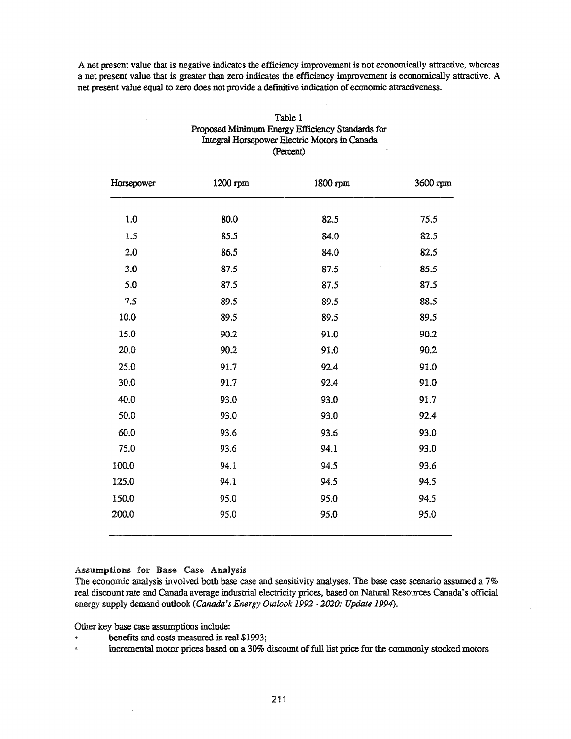A net present value that is negative indicates the efficiency improvement is not economically attractive, whereas a net present value that is greater than zero indicates the efficiency improvement is economically attractive. A net present value equal to zero does not provide a defmitive indication of economic attractiveness.

| Horsepower | 1200 rpm | 1800 rpm | 3600 rpm |
|------------|----------|----------|----------|
| 1.0        | 80.0     | 82.5     | 75.5     |
| 1.5        | 85.5     | 84.0     | 82.5     |
| 2.0        | 86.5     | 84.0     | 82.5     |
| 3.0        | 87.5     | 87.5     | 85.5     |
| 5.0        | 87.5     | 87.5     | 87.5     |
| 7.5        | 89.5     | 89.5     | 88.5     |
| 10.0       | 89.5     | 89.5     | 89.5     |
| 15.0       | 90.2     | 91.0     | 90.2     |
| 20.0       | 90.2     | 91.0     | 90.2     |
| 25.0       | 91.7     | 92.4     | 91.0     |
| 30.0       | 91.7     | 92.4     | 91.0     |
| 40.0       | 93.0     | 93.0     | 91.7     |
| 50.0       | 93.0     | 93.0     | 92.4     |
| 60.0       | 93.6     | 93.6     | 93.0     |
| 75.0       | 93.6     | 94.1     | 93.0     |
| 100.0      | 94.1     | 94.5     | 93.6     |
| 125.0      | 94.1     | 94.5     | 94.5     |
| 150.0      | 95.0     | 95.0     | 94.5     |
| 200.0      | 95.0     | 95.0     | 95.0     |

Table 1 Proposed Minimum Energy Efficiency Standards for Integral Horsepower Electric Motors in Canada (Percent)

#### Assumptions for Base Case Analysis

The economic analysis involved both base case and sensitivity analyses. The base case scenario assumed a 7% real discount rate and Canada average industrial electricity prices, based on Natural Resources Canada's official energy supply demand outlook *(Canada's Energy Outlook* 1992 - *2020: Update 1994).*

Other key base case assumptions include:

- benefits and costs measured in real \$1993;
- incremental motor prices based on a 30% discount of full list price for the commonly stocked motors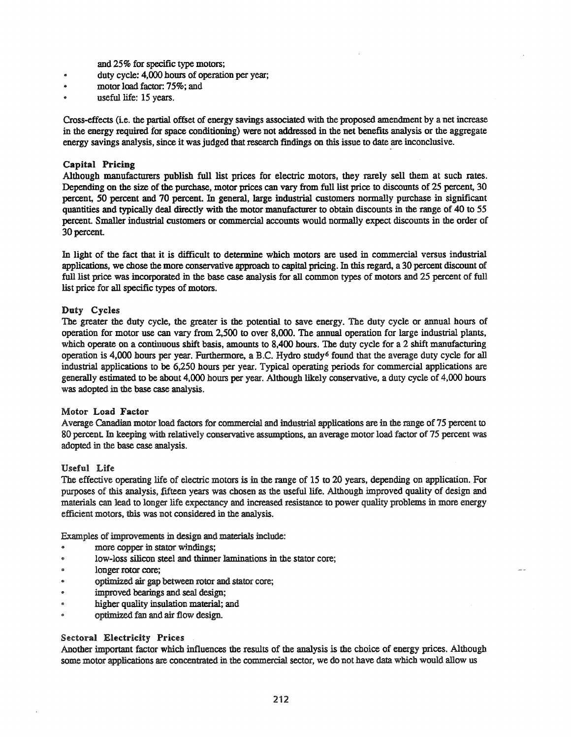and 25% for specific type motors;

- duty cycle: 4,000 hours of operation per year;
- motor load factor: 75%; and
- useful life: 15 years.

Cross-effects (i.e. the partial offset of energy savings associated with the proposed amendment by a net increase in the energy required for space conditioning) were not addressed in the net benefits analysis or the aggregate energy savings analysis, since it was judged that research findings on this issue to date are inconclusive.

## Capital Pricing

Although manufacturers publish full list prices for electric motors, they rarely sell them at such rates. Depending on the size of the purchase, motor prices can vary from full list price to discounts of 25 percent, 30 percent, 50 percent and 70 percent. In general, large industrial customers normally purchase in significant quantities and typically deal directly with the motor manufacturer to obtain discounts in the range of 40 to 55 percent. Smaller industrial customers or commercial accounts would normally expect discounts in the order of 30 percent.

In light of the fact that it is difficult to determine which motors are used in commercial versus industrial applications, we chose the more conservative approach to capital pricing. In this regard, a 30 percent discount of full list price was incorporated in the base case analysis for all common types of motors and 25 percent of full list price for all specific types of motors.

## Duty Cycles

The greater the duty cycle, the greater is the potential to save energy. The duty cycle or annual hours of operation for motor use can vary from 2,500 to over 8,000. The annual operation for large industrial plants, which operate on a continuous shift basis, amounts to 8,400 hours. The duty cycle for a 2 shift manufacturing operation is 4,000 hours per year. Furthermore, a B.C. Hydro study6 found that the average duty cycle for all industrial applications to be 6,250 hours per year. Typical operating periods for commercial applications are generally estimated to be about 4,000 hours per year. Although likely conservative, a duty cycle of 4,000 hours was adopted in the base case analysis.

#### Motor Load Factor

Average Canadian motor load factors for commercial and industrial applications are in the range of 75 percent to 80 percent In keeping with relatively conservative assumptions, an average motor load factor of 75 percent was adopted in the base case analysis.

#### Useful Life

The effective operating life of electric motors is in the range of 15 to 20 years, depending on application. For purposes of this analysis, fIfteen years was chosen as the useful life. Although improved quality of design and materials can lead to longer life expectancy and increased resistance to power quality problems in more energy efficient motors, this was not considered in the analysis.

Examples of improvements in design and materials include:

- more copper in stator windings;
- .. low-loss silicon steel and thinner laminations in the stator core;
- .. longer rotor core;
- .. optimized air gap between rotor and stator core;
- improved bearings and seal design;
- higher quality insulation material; and
- optimized fan and air flow design.

#### Sectoral Electricity Prices

Another important factor which influences the results of the analysis is the choice of energy prices. Although some motor applications are concentrated in the commercial sector, we do not have data which would allow us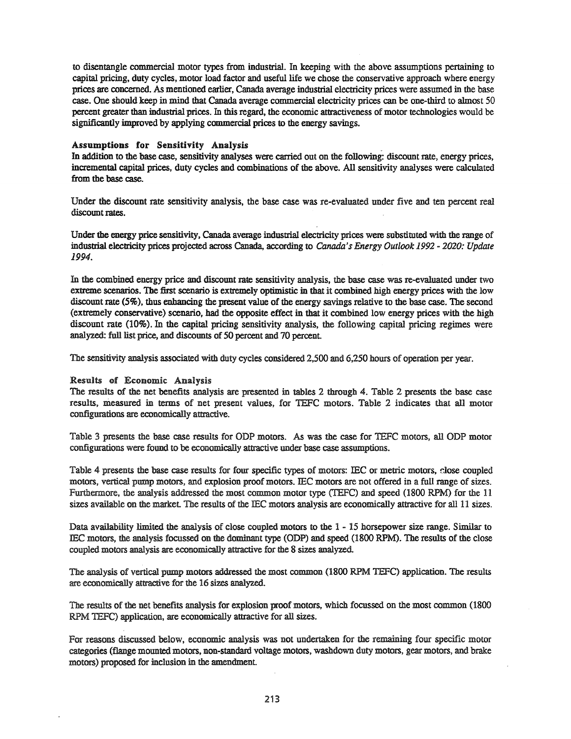to disentangle commercial motor types from industrial. In keeping with the above assumptions pertaining to capital pricing, duty cycles, motor load factor and useful life we chose the conservative approach where energy prices are concerned. As mentioned earlier, Canada average industrial electricity prices were assumed in the base case. One should keep in mind that Canada average commercial electricity prices can be one-third to almost 50 percent greater than industrial prices. In this regard, the economic attractiveness ofmotor technologies would be significantly improved by applying commercial prices to the energy savings.

#### Assumptions for Sensitivity Analysis \_

In addition to the base case, sensitivity analyses were carried out on the following: discount rate, energy prices, incremental capital prices, duty cycles and combinations of the above. All sensitivity analyses were calculated from the base case.

Under the discount rate sensitivity analysis, the base case was re-evaluated under five and ten percent real discount rates.

Under the energy price sensitivity, Canada average industrial electricity prices were substituted with the range of industrial electricity prices projected across Canada, according to Canada's Energy Outlook 1992 - 2020: Update 1994.

In the combined energy price and discount rate sensitivity analysis, the base case was re-evaluated under two extreme scenarios. The first scenario is extremely optimistic in that it combined high energy prices with the low discount rate (5%), thus enhancing the present value of the energy savings relative to the base case. The second (extremely conservative) scenario, had the opposite effect in that it combined low energy prices with the high discount rate (10%). In the capital pricing sensitivity analysis, the following capital pricing regimes were analyzed: full list price, and discounts of 50 percent and 70 percent.

The sensitivity analysis associated with duty cycles considered 2,500 and 6,250 hours of operation per year.

#### Results of Economic Analysis

The results of the net benefits analysis are presented in tables 2 through 4. Table 2 presents the base case results, measured in terms of net present values, for TEFC motors. Table 2 indicates that all motor configurations are economically attractive.

Table 3 presents the base case results for ODP motors. As was the case for TEFC motors, all ODP motor configurations were found to be economically attractive under base case assumptions.

Table 4 presents the base case results for four specific types of motors: lEC or metric motors, dose coupled motors, vertical pump motors, and explosion proof motors. lEC motors are not offered in a full range of sizes. Furthermore, the analysis addressed the most common motor type (TEFC) and speed (1800 RPM) for the 11 sizes available on the market. The results of the IEC motors analysis are economically attractive for all 11 sizes.

Data availability limited the analysis of close coupled motors to the 1 - 15 horsepower size range. Similar to me motors, the analysis focussed on the dominant type (ODP) and speed (1800 RPM). The results of the close coupled motors analysis are economically attractive for the 8 sizes analyzed.

The analysis of vertical pump motors addressed the most common (1800 RPM TEFC) application. The results are economically attractive for the 16 sizes analyzed.

The results of the net benefits analysis for explosion proof motors, which focussed on the most common (1800 RPM TEFC) application, are economically attractive for all sizes.

For reasons discussed below, economic analysis was not undertaken for the remaining four specific motor categories (flange mounted motors, non-standard voltage motors, washdown duty motors, gear motors, and brake motors) proposed for inclusion in the amendment.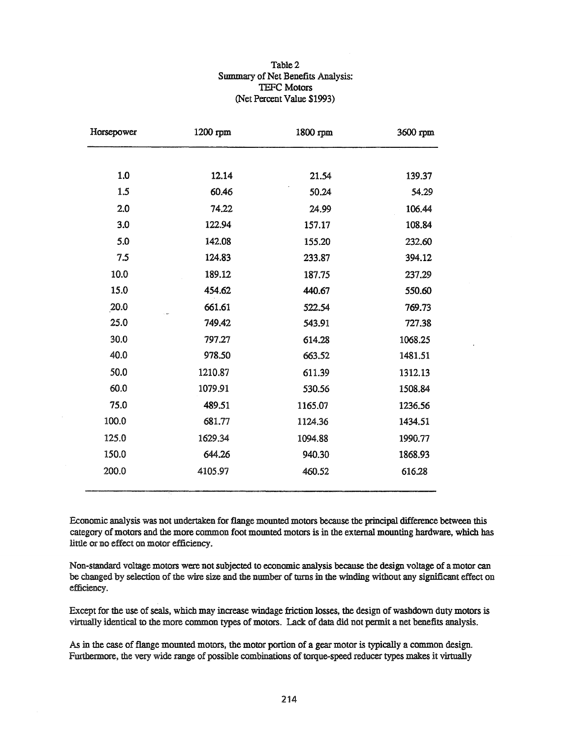### Table 2 Summary of Net Benefits Analysis: TEFC Motors (Net Percent Value \$1993)

| Horsepower | 1200 rpm | 1800 rpm | 3600 rpm |
|------------|----------|----------|----------|
|            |          |          |          |
| 1.0        | 12.14    | 21.54    | 139.37   |
| 1.5        | 60.46    | 50.24    | 54.29    |
| 2.0        | 74.22    | 24.99    | 106.44   |
| 3.0        | 122.94   | 157.17   | 108.84   |
| 5.0        | 142.08   | 155.20   | 232.60   |
| 7.5        | 124.83   | 233.87   | 394.12   |
| 10.0       | 189.12   | 187.75   | 237.29   |
| 15.0       | 454.62   | 440.67   | 550.60   |
| 20.0       | 661.61   | 522.54   | 769.73   |
| 25.0       | 749.42   | 543.91   | 727.38   |
| 30.0       | 797.27   | 614.28   | 1068.25  |
| 40.0       | 978.50   | 663.52   | 1481.51  |
| 50.0       | 1210.87  | 611.39   | 1312.13  |
| 60.0       | 1079.91  | 530.56   | 1508.84  |
| 75.0       | 489.51   | 1165.07  | 1236.56  |
| 100.0      | 681.77   | 1124.36  | 1434.51  |
| 125.0      | 1629.34  | 1094.88  | 1990.77  |
| 150.0      | 644.26   | 940.30   | 1868.93  |
| 200.0      | 4105.97  | 460.52   | 616.28   |

Economic analysis was not undertaken for flange mounted motors because the principal difference between this category of motors and the more common foot mounted motors is in the external mounting hardware, which has little or no effect on motor efficiency.

Non-standard voltage motors were notsubjected to economic analysis because the design voltage of a motor can be changed by selection of the wire size and the number of turns in the winding without any significant effect on efficiency.

Except for the use of seals, which may increase windage friction losses, the design of washdown duty motors is virtually identical to the more common types of motors. Lack of data did not permit a net benefits analysis.

As in the case of flange mounted motors, the motor portion of a gear motor is typically a common design. Furthermore, the very wide range of possible combinations of torque-speed reducer types makes it virtually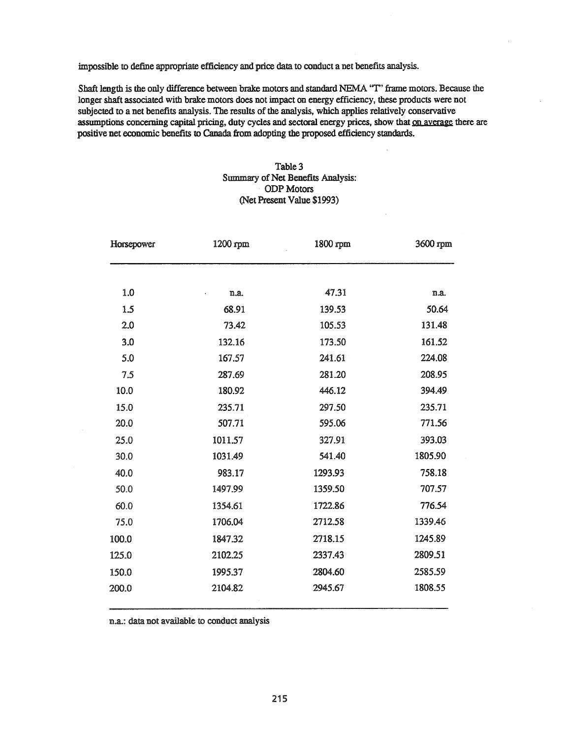impossible to define appropriate efficiency and price data to conduct a net benefits analysis.

Shaft length is the only difference between brake motors and standard NEMA 'T' frame motors. Because the longer shaft associated with brake motors does not impact on energy efficiency, these products were not subjected to a net benefits analysis. The results of the analysis, which applies relatively conservative assumptions concerning capital pricing, duty cycles and sectoral energy prices, show that on average there are positive net economic benefits to Canada from adopting the proposed efficiency standards.

#### Table 3 Summary of Net Benefits Analysis: ODP Motors (Net Present Value \$1993)

| Horsepower | 1200 rpm | 1800 rpm | 3600 rpm |
|------------|----------|----------|----------|
|            |          |          |          |
| 1.0        | n.a.     | 47.31    | n.a.     |
| 1.5        | 68.91    | 139.53   | 50.64    |
| 2.0        | 73.42    | 105.53   | 131.48   |
| 3.0        | 132.16   | 173.50   | 161.52   |
| 5.0        | 167.57   | 241.61   | 224.08   |
| 7.5        | 287.69   | 281.20   | 208.95   |
| 10.0       | 180.92   | 446.12   | 394.49   |
| 15.0       | 235.71   | 297.50   | 235.71   |
| 20.0       | 507.71   | 595.06   | 771.56   |
| 25.0       | 1011.57  | 327.91   | 393.03   |
| 30.0       | 1031.49  | 541.40   | 1805.90  |
| 40.0       | 983.17   | 1293.93  | 758.18   |
| 50.0       | 1497.99  | 1359.50  | 707.57   |
| 60.0       | 1354.61  | 1722.86  | 776.54   |
| 75.0       | 1706.04  | 2712.58  | 1339.46  |
| 100.0      | 1847.32  | 2718.15  | 1245.89  |
| 125.0      | 2102.25  | 2337.43  | 2809.51  |
| 150.0      | 1995.37  | 2804.60  | 2585.59  |
| 200.0      | 2104.82  | 2945.67  | 1808.55  |

n.a.: data not available to conduct analysis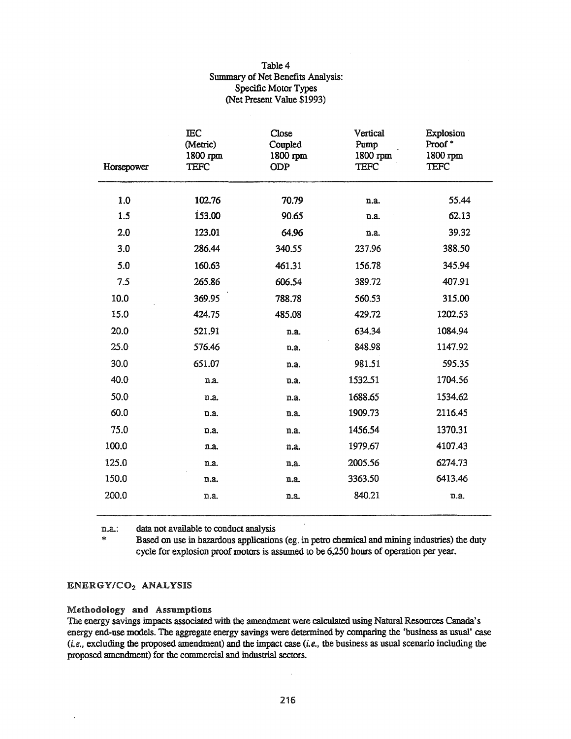## Table 4 Summary of Net Benefits Analysis: Specific Motor Types (Net Present Value \$1993)

| Horsepower | <b>IEC</b><br>(Metric)<br>1800 rpm<br><b>TEFC</b> | Close<br>Coupled<br>1800 rpm<br>ODP | Vertical<br>Pump<br>1800 rpm<br><b>TEFC</b> | Explosion<br>Proof*<br>1800 rpm<br><b>TEFC</b> |
|------------|---------------------------------------------------|-------------------------------------|---------------------------------------------|------------------------------------------------|
| 1.0        | 102.76                                            | 70.79                               | n.a.                                        | 55.44                                          |
| 1.5        | 153.00                                            | 90.65                               | n.a.                                        | 62.13                                          |
| 2.0        | 123.01                                            | 64.96                               | n.a.                                        | 39.32                                          |
| 3.0        | 286.44                                            | 340.55                              | 237.96                                      | 388.50                                         |
| 5.0        | 160.63                                            | 461.31                              | 156.78                                      | 345.94                                         |
| 7.5        | 265.86                                            | 606.54                              | 389.72                                      | 407.91                                         |
| 10.0       | 369.95                                            | 788.78                              | 560.53                                      | 315.00                                         |
| 15.0       | 424.75                                            | 485.08                              | 429.72                                      | 1202.53                                        |
| 20.0       | 521.91                                            | n.a.                                | 634.34                                      | 1084.94                                        |
| 25.0       | 576.46                                            | n.a.                                | 848.98                                      | 1147.92                                        |
| 30.0       | 651.07                                            | n.a.                                | 981.51                                      | 595.35                                         |
| 40.0       | n.a.                                              | n.a.                                | 1532.51                                     | 1704.56                                        |
| 50.0       | n.a.                                              | n.a.                                | 1688.65                                     | 1534.62                                        |
| 60.0       | n.a.                                              | n.a.                                | 1909.73                                     | 2116.45                                        |
| 75.0       | n.a.                                              | n.a.                                | 1456.54                                     | 1370.31                                        |
| 100.0      | n.a.                                              | n.a.                                | 1979.67                                     | 4107.43                                        |
| 125.0      | n.a.                                              | n.a.                                | 2005.56                                     | 6274.73                                        |
| 150.0      | n.a.                                              | n.a.                                | 3363.50                                     | 6413.46                                        |
| 200.0      | n.a.                                              | n.a.                                | 840.21                                      | n.a.                                           |

n.a.: data not available to conduct analysis

>I< Based on use in hazardous applications (eg. in petro chemical and mining industries) the duty cycle for explosion proof motors is assumed to be 6,250 hours of operation per year.

# ENERGY/C02 ANALYSIS

#### Methodology and Assumptions

The energy savings impacts associated with the amendment were calculated using Natural Resources Canada's energy end-use models. The aggregate energy savings were determined by comparing the 'business as usual' case  $(i.e., excluding the proposed amendment)$  and the impact case  $(i.e., the business as usual scenario including the$ proposed amendment) for the commercial and industrial sectors.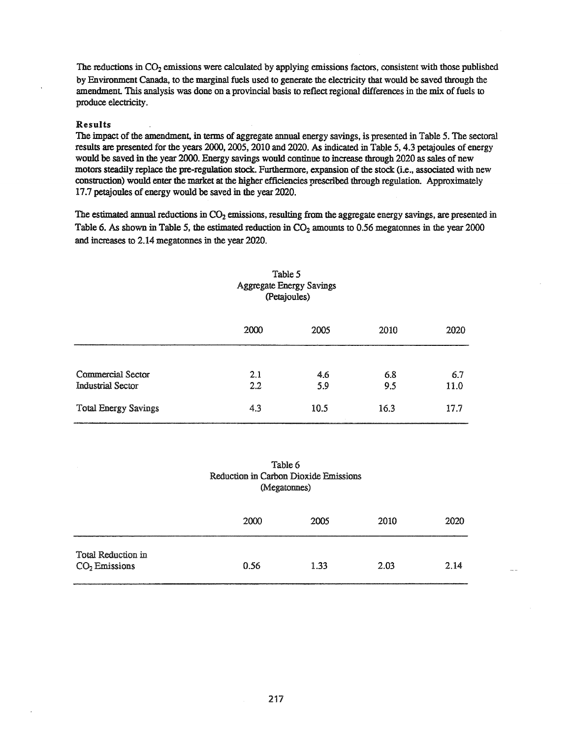The reductions in  $CO<sub>2</sub>$  emissions were calculated by applying emissions factors, consistent with those published by Environment Canada, to the marginal fuels used to generate the electricity that would be saved through the amendment. This analysis was done on a provincial basis to reflect regional differences in the mix of fuels to produce electricity.

#### Results

The impact of the amendment, in terms of aggregate annual energy savings, is presented in Table 5. The sectoral results are presented for the years 2000, 2005, 2010 and 2020. As indicated in Table 5, 4.3 petajoules of energy would be saved in the year 2000. Energy savings would continue to increase through 2020 as sales of new motors steadily replace the pre-regulation stock. Furthermore, expansion of the stock (i.e., associated with new construction) would enter the market at the higher efficiencies prescribed through regulation. Approximately 17.7 petajoules of energy would be saved in the year 2020.

The estimated annual reductions in  $CO<sub>2</sub>$  emissions, resulting from the aggregate energy savings, are presented in Table 6. As shown in Table 5, the estimated reduction in  $CO<sub>2</sub>$  amounts to 0.56 megatonnes in the year 2000 and increases to 2.14 megatonnes in the year 2020.

|                                               | (Petajoules) |                |            |             |  |
|-----------------------------------------------|--------------|----------------|------------|-------------|--|
|                                               | 2000         | 2005           | 2010       | 2020        |  |
| <b>Commercial Sector</b><br>Industrial Sector | 2.1<br>2.2   | 4.6<br>5.9     | 6.8<br>9.5 | 6.7<br>11.0 |  |
| <b>Total Energy Savings</b>                   | 4.3          | 10.5<br>$\sim$ | 16.3       | 17.7        |  |

### Table 5 Aggregate Energy Savings (petajoules)

### Table 6 Reduction in Carbon Dioxide Emissions (Megatonnes)

|                                       | 2000 | 2005 | 2010 | 2020 |
|---------------------------------------|------|------|------|------|
| Total Reduction in<br>$CO2$ Emissions | 0.56 | 1.33 | 2.03 | 2.14 |